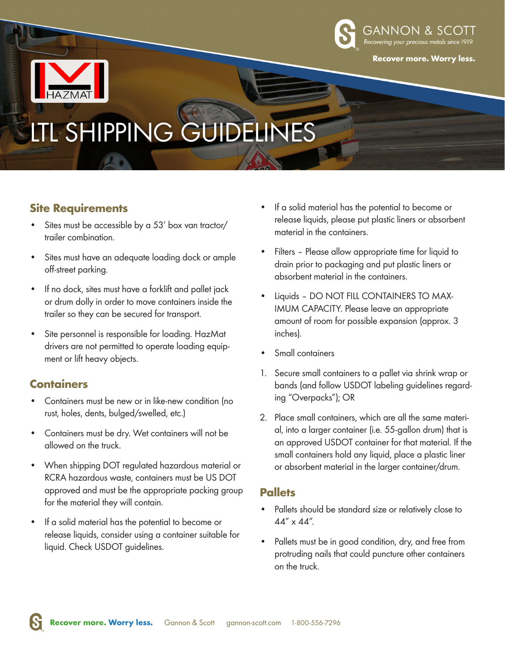



# LSHIPPING GUIDE

# **Site Requirements**

- Sites must be accessible by a 53' box van tractor/ trailer combination.
- Sites must have an adequate loading dock or ample off-street parking.
- If no dock, sites must have a forklift and pallet jack or drum dolly in order to move containers inside the trailer so they can be secured for transport.
- Site personnel is responsible for loading. HazMat drivers are not permitted to operate loading equipment or lift heavy objects.

# **Containers**

- Containers must be new or in like-new condition (no rust, holes, dents, bulged/swelled, etc.)
- Containers must be dry. Wet containers will not be allowed on the truck.
- When shipping DOT regulated hazardous material or RCRA hazardous waste, containers must be US DOT approved and must be the appropriate packing group for the material they will contain.
- If a solid material has the potential to become or release liquids, consider using a container suitable for liquid. Check USDOT guidelines.
- If a solid material has the potential to become or release liquids, please put plastic liners or absorbent material in the containers.
- Filters Please allow appropriate time for liquid to drain prior to packaging and put plastic liners or absorbent material in the containers.
- Liquids DO NOT FILL CONTAINERS TO MAX-IMUM CAPACITY. Please leave an appropriate amount of room for possible expansion (approx. 3 inches).
- Small containers
- 1. Secure small containers to a pallet via shrink wrap or bands (and follow USDOT labeling guidelines regarding "Overpacks"); OR
- 2. Place small containers, which are all the same material, into a larger container (i.e. 55-gallon drum) that is an approved USDOT container for that material. If the small containers hold any liquid, place a plastic liner or absorbent material in the larger container/drum.

# **Pallets**

- Pallets should be standard size or relatively close to 44" x 44".
- Pallets must be in good condition, dry, and free from protruding nails that could puncture other containers on the truck.